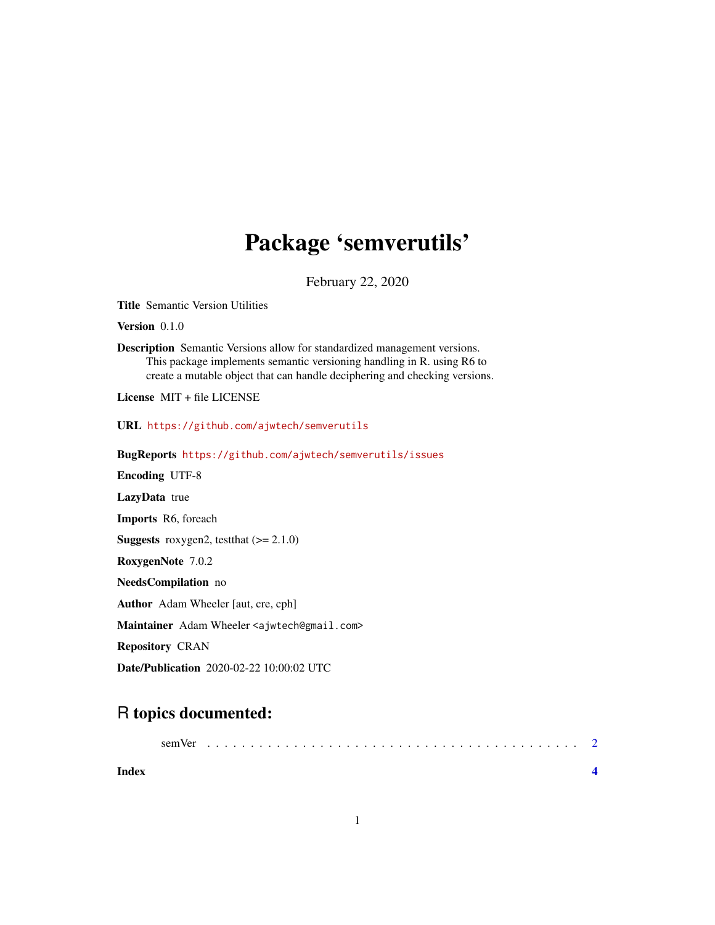## Package 'semverutils'

February 22, 2020

<span id="page-0-0"></span>Title Semantic Version Utilities

Version 0.1.0

Description Semantic Versions allow for standardized management versions. This package implements semantic versioning handling in R. using R6 to create a mutable object that can handle deciphering and checking versions.

License MIT + file LICENSE

URL <https://github.com/ajwtech/semverutils>

BugReports <https://github.com/ajwtech/semverutils/issues>

Encoding UTF-8

LazyData true

Imports R6, foreach

**Suggests** roxygen2, test that  $(>= 2.1.0)$ 

RoxygenNote 7.0.2

NeedsCompilation no

Author Adam Wheeler [aut, cre, cph]

Maintainer Adam Wheeler <ajwtech@gmail.com>

Repository CRAN

Date/Publication 2020-02-22 10:00:02 UTC

### R topics documented:

|       | sem Ver |  |  |  |  |  |  |  |  |  |  |  |  |  |  |  |  |
|-------|---------|--|--|--|--|--|--|--|--|--|--|--|--|--|--|--|--|
| Index |         |  |  |  |  |  |  |  |  |  |  |  |  |  |  |  |  |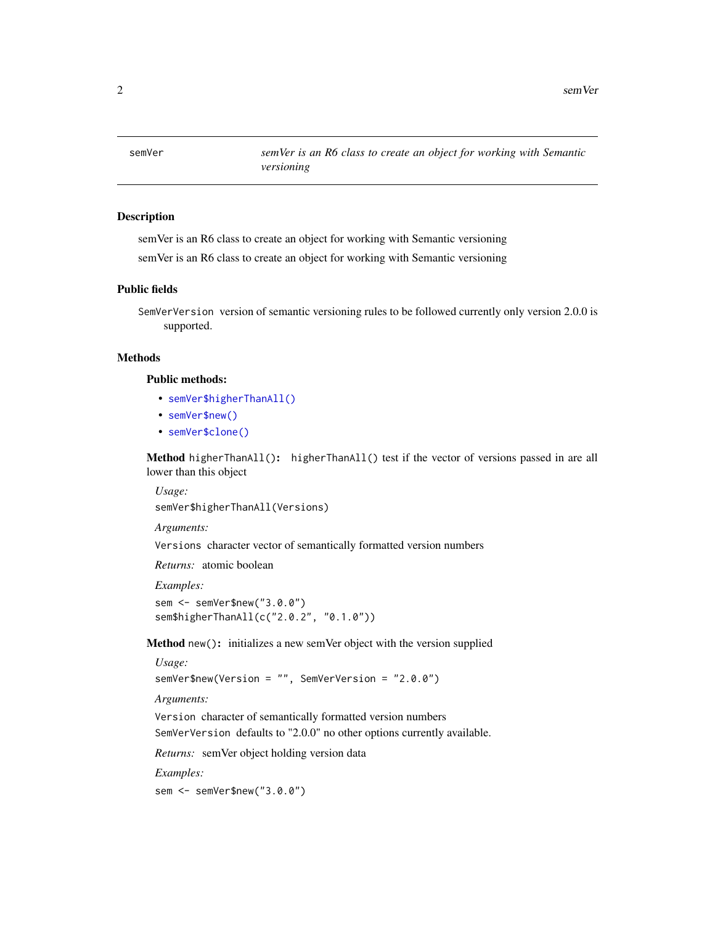<span id="page-1-0"></span>2 semVer

#### Description

semVer is an R6 class to create an object for working with Semantic versioning

semVer is an R6 class to create an object for working with Semantic versioning

#### Public fields

SemVerVersion version of semantic versioning rules to be followed currently only version 2.0.0 is supported.

#### Methods

#### Public methods:

- [semVer\\$higherThanAll\(\)](#page-0-0)
- [semVer\\$new\(\)](#page-0-0)
- [semVer\\$clone\(\)](#page-0-0)

Method higherThanAll(): higherThanAll() test if the vector of versions passed in are all lower than this object

*Usage:*

semVer\$higherThanAll(Versions)

*Arguments:*

Versions character vector of semantically formatted version numbers

*Returns:* atomic boolean

*Examples:*

sem <- semVer\$new("3.0.0") sem\$higherThanAll(c("2.0.2", "0.1.0"))

Method new(): initializes a new semVer object with the version supplied

```
Usage:
semVer$new(Version = "", SemVerVersion = "2.0.0")
Arguments:
Version character of semantically formatted version numbers
```
SemVerVersion defaults to "2.0.0" no other options currently available.

*Returns:* semVer object holding version data

*Examples:*

sem <- semVer\$new("3.0.0")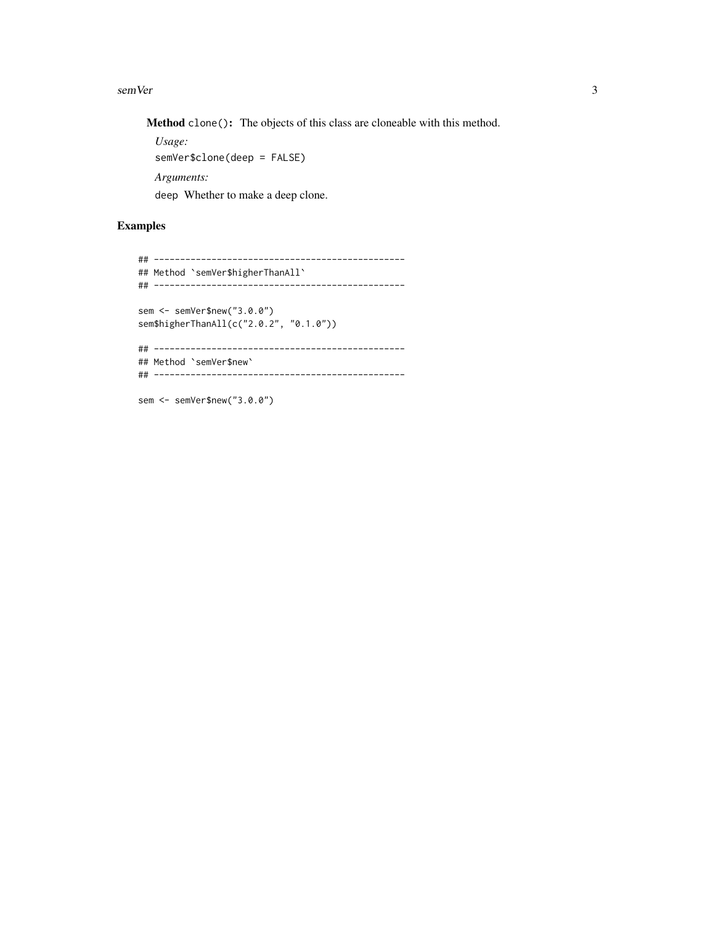#### semVer 3

Method clone(): The objects of this class are cloneable with this method.

*Usage:* semVer\$clone(deep = FALSE) *Arguments:* deep Whether to make a deep clone.

#### Examples

```
## ------------------------------------------------
## Method `semVer$higherThanAll`
## ------------------------------------------------
sem <- semVer$new("3.0.0")
sem$higherThanAll(c("2.0.2", "0.1.0"))
## ------------------------------------------------
## Method `semVer$new`
## ------------------------------------------------
```
sem <- semVer\$new("3.0.0")